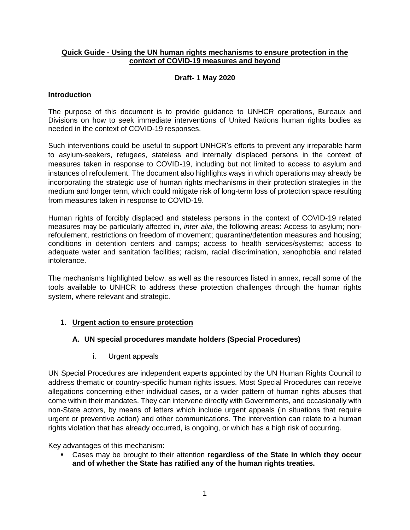#### **Quick Guide - Using the UN human rights mechanisms to ensure protection in the context of COVID-19 measures and beyond**

### **Draft- 1 May 2020**

#### **Introduction**

The purpose of this document is to provide guidance to UNHCR operations, Bureaux and Divisions on how to seek immediate interventions of United Nations human rights bodies as needed in the context of COVID-19 responses.

Such interventions could be useful to support UNHCR's efforts to prevent any irreparable harm to asylum-seekers, refugees, stateless and internally displaced persons in the context of measures taken in response to COVID-19, including but not limited to access to asylum and instances of refoulement. The document also highlights ways in which operations may already be incorporating the strategic use of human rights mechanisms in their protection strategies in the medium and longer term, which could mitigate risk of long-term loss of protection space resulting from measures taken in response to COVID-19.

Human rights of forcibly displaced and stateless persons in the context of COVID-19 related measures may be particularly affected in, *inter alia*, the following areas: Access to asylum; nonrefoulement, restrictions on freedom of movement; quarantine/detention measures and housing; conditions in detention centers and camps; access to health services/systems; access to adequate water and sanitation facilities; racism, racial discrimination, xenophobia and related intolerance.

The mechanisms highlighted below, as well as the resources listed in annex, recall some of the tools available to UNHCR to address these protection challenges through the human rights system, where relevant and strategic.

#### 1. **Urgent action to ensure protection**

#### **A. UN special procedures mandate holders (Special Procedures)**

#### i. Urgent appeals

UN Special Procedures are independent experts appointed by the UN Human Rights Council to address thematic or country-specific human rights issues. Most Special Procedures can receive allegations concerning either individual cases, or a wider pattern of human rights abuses that come within their mandates. They can intervene directly with Governments, and occasionally with non-State actors, by means of letters which include urgent appeals (in situations that require urgent or preventive action) and other communications. The intervention can relate to a human rights violation that has already occurred, is ongoing, or which has a high risk of occurring.

Key advantages of this mechanism:

▪ Cases may be brought to their attention **regardless of the State in which they occur and of whether the State has ratified any of the human rights treaties.**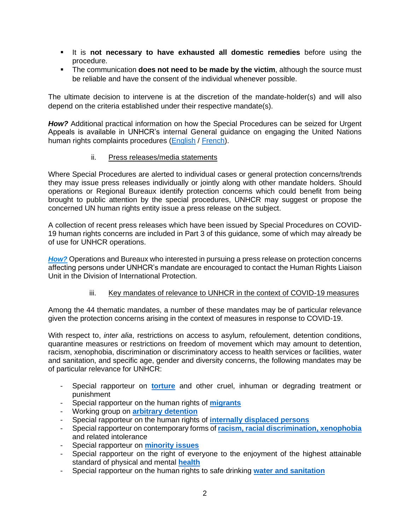- It is **not necessary to have exhausted all domestic remedies** before using the procedure.
- The communication **does not need to be made by the victim**, although the source must be reliable and have the consent of the individual whenever possible.

The ultimate decision to intervene is at the discretion of the mandate-holder(s) and will also depend on the criteria established under their respective mandate(s).

*How?* Additional practical information on how the Special Procedures can be seized for Urgent Appeals is available in UNHCR's internal General guidance on engaging the United Nations human rights complaints procedures [\(English](https://intranet.unhcr.org/content/dam/unhcr/intranet/protection-operations/human-rights/documents/english/Individual_Complaints_General_Guidance.pdf) / [French\)](https://intranet.unhcr.org/content/dam/unhcr/intranet/protection-operations/human-rights/documents/french/Individual_Complaints_General_Guidance_FRA.pdf).

#### ii. Press releases/media statements

Where Special Procedures are alerted to individual cases or general protection concerns/trends they may issue press releases individually or jointly along with other mandate holders. Should operations or Regional Bureaux identify protection concerns which could benefit from being brought to public attention by the special procedures, UNHCR may suggest or propose the concerned UN human rights entity issue a press release on the subject.

A collection of recent press releases which have been issued by Special Procedures on COVID-19 human rights concerns are included in Part 3 of this guidance, some of which may already be of use for UNHCR operations.

*How?* Operations and Bureaux who interested in pursuing a press release on protection concerns affecting persons under UNHCR's mandate are encouraged to contact the Human Rights Liaison Unit in the Division of International Protection.

#### iii. Key mandates of relevance to UNHCR in the context of COVID-19 measures

Among the 44 thematic mandates, a number of these mandates may be of particular relevance given the protection concerns arising in the context of measures in response to COVID-19.

With respect to, *inter alia*, restrictions on access to asylum, refoulement, detention conditions, quarantine measures or restrictions on freedom of movement which may amount to detention, racism, xenophobia, discrimination or discriminatory access to health services or facilities, water and sanitation, and specific age, gender and diversity concerns, the following mandates may be of particular relevance for UNHCR:

- Special rapporteur on **[torture](http://www.ohchr.org/EN/Issues/Torture/SRTorture/Pages/SRTortureIndex.aspx)** and other cruel, inhuman or degrading treatment or punishment
- Special rapporteur on the human rights of **[migrants](http://www.ohchr.org/EN/Issues/Migration/SRMigrants/Pages/SRMigrantsIndex.aspx)**
- Working group on **[arbitrary detention](http://www.ohchr.org/EN/Issues/Detention/Pages/WGADIndex.aspx)**
- Special rapporteur on the human rights of **[internally displaced persons](http://www.ohchr.org/EN/Issues/IDPersons/Pages/IDPersonsIndex.aspx)**
- Special rapporteur on contemporary forms of **[racism, racial discrimination, xenophobia](http://www.ohchr.org/EN/Issues/Racism/SRRacism/Pages/IndexSRRacism.aspx)** and related intolerance
- Special rapporteur on **[minority issues](http://www.ohchr.org/EN/Issues/Minorities/SRMinorities/Pages/SRminorityissuesIndex.aspx)**
- Special rapporteur on the right of everyone to the enjoyment of the highest attainable standard of physical and mental **[health](http://www.ohchr.org/EN/Issues/Health/Pages/SRRightHealthIndex.aspx)**
- Special rapporteur on the human rights to safe drinking **[water and sanitation](http://www.ohchr.org/EN/Issues/WaterAndSanitation/SRWater/Pages/SRWaterIndex.aspx)**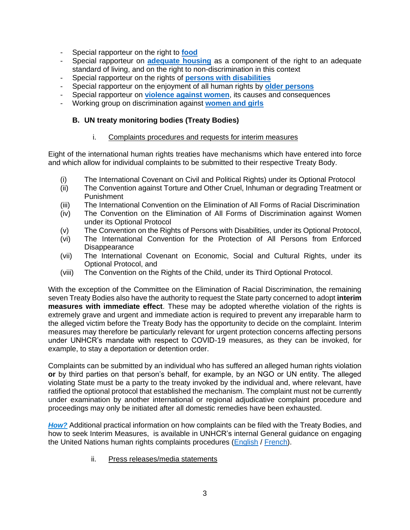- Special rapporteur on the right to **[food](http://www.ohchr.org/EN/Issues/Food/Pages/FoodIndex.aspx)**
- Special rapporteur on **[adequate housing](http://www.ohchr.org/EN/Issues/Housing/Pages/HousingIndex.aspx)** as a component of the right to an adequate standard of living, and on the right to non-discrimination in this context
- Special rapporteur on the rights of **[persons with disabilities](http://www.ohchr.org/EN/Issues/Disability/SRDisabilities/Pages/SRDisabilitiesIndex.aspx)**
- Special rapporteur on the enjoyment of all human rights by **[older persons](http://www.ohchr.org/EN/Issues/OlderPersons/IE/Pages/IEOlderPersons.aspx)**
- Special rapporteur on **[violence against women](http://www.ohchr.org/EN/Issues/Women/SRWomen/Pages/SRWomenIndex.aspx)**, its causes and consequences
- Working group on discrimination against **[women and girls](http://www.ohchr.org/EN/Issues/Women/WGWomen/Pages/WGWomenIndex.aspx)**

### **B. UN treaty monitoring bodies (Treaty Bodies)**

#### i. Complaints procedures and requests for interim measures

Eight of the international human rights treaties have mechanisms which have entered into force and which allow for individual complaints to be submitted to their respective Treaty Body.

- (i) The International Covenant on Civil and Political Rights) under its Optional Protocol
- (ii) The Convention against Torture and Other Cruel, Inhuman or degrading Treatment or Punishment
- (iii) The International Convention on the Elimination of All Forms of Racial Discrimination
- (iv) The Convention on the Elimination of All Forms of Discrimination against Women under its Optional Protocol
- (v) The Convention on the Rights of Persons with Disabilities, under its Optional Protocol,
- (vi) The International Convention for the Protection of All Persons from Enforced **Disappearance**
- (vii) The International Covenant on Economic, Social and Cultural Rights, under its Optional Protocol, and
- (viii) The Convention on the Rights of the Child, under its Third Optional Protocol.

With the exception of the Committee on the Elimination of Racial Discrimination, the remaining seven Treaty Bodies also have the authority to request the State party concerned to adopt **interim measures with immediate effect**. These may be adopted wherethe violation of the rights is extremely grave and urgent and immediate action is required to prevent any irreparable harm to the alleged victim before the Treaty Body has the opportunity to decide on the complaint. Interim measures may therefore be particularly relevant for urgent protection concerns affecting persons under UNHCR's mandate with respect to COVID-19 measures, as they can be invoked, for example, to stay a deportation or detention order.

Complaints can be submitted by an individual who has suffered an alleged human rights violation **or** by third parties on that person's behalf, for example, by an NGO or UN entity. The alleged violating State must be a party to the treaty invoked by the individual and, where relevant, have ratified the optional protocol that established the mechanism. The complaint must not be currently under examination by another international or regional adjudicative complaint procedure and proceedings may only be initiated after all domestic remedies have been exhausted.

*How?* Additional practical information on how complaints can be filed with the Treaty Bodies, and how to seek Interim Measures, is available in UNHCR's internal General guidance on engaging the United Nations human rights complaints procedures [\(English](https://intranet.unhcr.org/content/dam/unhcr/intranet/protection-operations/human-rights/documents/english/Individual_Complaints_General_Guidance.pdf) / [French\)](https://intranet.unhcr.org/content/dam/unhcr/intranet/protection-operations/human-rights/documents/french/Individual_Complaints_General_Guidance_FRA.pdf).

ii. Press releases/media statements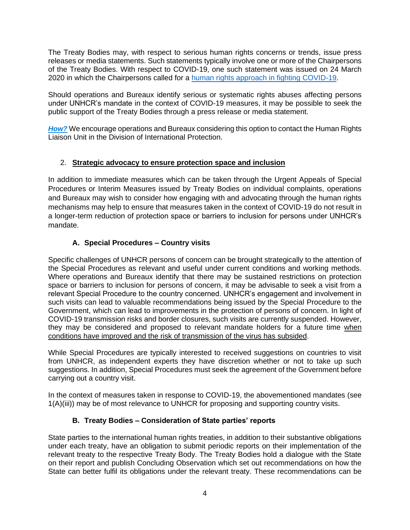The Treaty Bodies may, with respect to serious human rights concerns or trends, issue press releases or media statements. Such statements typically involve one or more of the Chairpersons of the Treaty Bodies. With respect to COVID-19, one such statement was issued on 24 March 2020 in which the Chairpersons called for a [human rights approach in](https://www.ohchr.org/EN/NewsEvents/Pages/DisplayNews.aspx?NewsID=25742&LangID=E) fighting COVID-19.

Should operations and Bureaux identify serious or systematic rights abuses affecting persons under UNHCR's mandate in the context of COVID-19 measures, it may be possible to seek the public support of the Treaty Bodies through a press release or media statement.

*How?* We encourage operations and Bureaux considering this option to contact the Human Rights Liaison Unit in the Division of International Protection.

## 2. **Strategic advocacy to ensure protection space and inclusion**

In addition to immediate measures which can be taken through the Urgent Appeals of Special Procedures or Interim Measures issued by Treaty Bodies on individual complaints, operations and Bureaux may wish to consider how engaging with and advocating through the human rights mechanisms may help to ensure that measures taken in the context of COVID-19 do not result in a longer-term reduction of protection space or barriers to inclusion for persons under UNHCR's mandate.

# **A. Special Procedures – Country visits**

Specific challenges of UNHCR persons of concern can be brought strategically to the attention of the Special Procedures as relevant and useful under current conditions and working methods. Where operations and Bureaux identify that there may be sustained restrictions on protection space or barriers to inclusion for persons of concern, it may be advisable to seek a visit from a relevant Special Procedure to the country concerned. UNHCR's engagement and involvement in such visits can lead to valuable recommendations being issued by the Special Procedure to the Government, which can lead to improvements in the protection of persons of concern. In light of COVID-19 transmission risks and border closures, such visits are currently suspended. However, they may be considered and proposed to relevant mandate holders for a future time when conditions have improved and the risk of transmission of the virus has subsided.

While Special Procedures are typically interested to received suggestions on countries to visit from UNHCR, as independent experts they have discretion whether or not to take up such suggestions. In addition, Special Procedures must seek the agreement of the Government before carrying out a country visit.

In the context of measures taken in response to COVID-19, the abovementioned mandates (see 1(A)(iii)) may be of most relevance to UNHCR for proposing and supporting country visits.

## **B. Treaty Bodies – Consideration of State parties' reports**

State parties to the international human rights treaties, in addition to their substantive obligations under each treaty, have an obligation to submit periodic reports on their implementation of the relevant treaty to the respective Treaty Body. The Treaty Bodies hold a dialogue with the State on their report and publish Concluding Observation which set out recommendations on how the State can better fulfil its obligations under the relevant treaty. These recommendations can be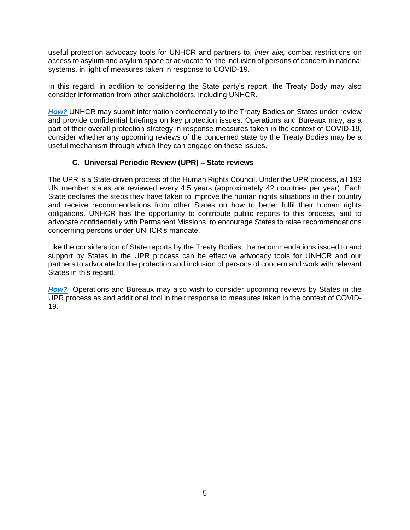useful protection advocacy tools for UNHCR and partners to, *inter alia,* combat restrictions on access to asylum and asylum space or advocate for the inclusion of persons of concern in national systems, in light of measures taken in response to COVID-19.

In this regard, in addition to considering the State party's report, the Treaty Body may also consider information from other stakeholders, including UNHCR.

*How?* UNHCR may submit information confidentially to the Treaty Bodies on States under review and provide confidential briefings on key protection issues. Operations and Bureaux may, as a part of their overall protection strategy in response measures taken in the context of COVID-19, consider whether any upcoming reviews of the concerned state by the Treaty Bodies may be a useful mechanism through which they can engage on these issues.

## **C. Universal Periodic Review (UPR) – State reviews**

The UPR is a State-driven process of the Human Rights Council. Under the UPR process, all 193 UN member states are reviewed every 4.5 years (approximately 42 countries per year). Each State declares the steps they have taken to improve the human rights situations in their country and receive recommendations from other States on how to better fulfil their human rights obligations. UNHCR has the opportunity to contribute public reports to this process, and to advocate confidentially with Permanent Missions, to encourage States to raise recommendations concerning persons under UNHCR's mandate.

Like the consideration of State reports by the Treaty Bodies, the recommendations issued to and support by States in the UPR process can be effective advocacy tools for UNHCR and our partners to advocate for the protection and inclusion of persons of concern and work with relevant States in this regard.

*How?* Operations and Bureaux may also wish to consider upcoming reviews by States in the UPR process as and additional tool in their response to measures taken in the context of COVID-19.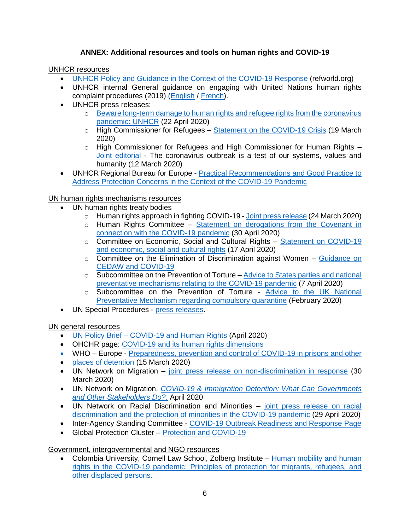# **ANNEX: Additional resources and tools on human rights and COVID-19**

UNHCR resources

- [UNHCR Policy and Guidance in the Context of the COVID-19 Response](https://www.refworld.org/covid19.html) (refworld.org)
- UNHCR internal General guidance on engaging with United Nations human rights complaint procedures (2019) [\(English](https://intranet.unhcr.org/content/dam/unhcr/intranet/protection-operations/human-rights/documents/english/Individual_Complaints_General_Guidance.pdf) / [French\)](https://intranet.unhcr.org/content/dam/unhcr/intranet/protection-operations/human-rights/documents/french/Individual_Complaints_General_Guidance_FRA.pdf).
- UNHCR press releases:
	- o [Beware long-term damage to human rights and refugee rights from the coronavirus](https://www.unhcr.org/news/press/2020/4/5ea035ba4/beware-long-term-damage-human-rights-refugee-rights-coronavirus-pandemic.html)  [pandemic: UNHCR](https://www.unhcr.org/news/press/2020/4/5ea035ba4/beware-long-term-damage-human-rights-refugee-rights-coronavirus-pandemic.html) (22 April 2020)
	- o High Commissioner for Refugees [Statement on the COVID-19 Crisis](https://www.unhcr.org/news/press/2020/3/5e7395f84/statement-filippo-grandi-un-high-commissioner-refugees-covid-19-crisis.html) (19 March 2020)
	- o High Commissioner for Refugees and High Commissioner for Human Rights [Joint editorial](https://www.unhcr.org/news/latest/2020/3/5e69eea54/coronavirus-outbreak-test-systems-values-humanity.html) - The coronavirus outbreak is a test of our systems, values and humanity (12 March 2020)
- UNHCR Regional Bureau for Europe [Practical Recommendations and Good Practice to](https://data2.unhcr.org/en/documents/download/75453#_ga=2.173159075.1835496906.1587992427-1822181095.1574772909)  [Address Protection Concerns in the Context of the COVID-19 Pandemic](https://data2.unhcr.org/en/documents/download/75453#_ga=2.173159075.1835496906.1587992427-1822181095.1574772909)
- UN human rights mechanisms resources
	- UN human rights treaty bodies
		- o Human rights approach in fighting COVID-19 [Joint press release](https://www.ohchr.org/EN/NewsEvents/Pages/DisplayNews.aspx?NewsID=25742&LangID=E) (24 March 2020)
		- o Human Rights Committee Statement on derogations from the Covenant in [connection with the COVID-19 pandemic](https://www.ohchr.org/Documents/HRBodies/ICA.pdf) (30 April 2020)
		- o Committee on Economic, Social and Cultural Rights [Statement on COVID-19](https://undocs.org/E/C.12/2020/1)  [and economic, social and cultural rights](https://undocs.org/E/C.12/2020/1) (17 April 2020)
		- $\circ$  Committee on the Elimination of Discrimination against Women Guidance on [CEDAW and COVID-19](https://www.ohchr.org/Documents/HRBodies/CEDAW/Statements/CEDAW_Guidance_note_COVID-19.docx)
		- $\circ$  Subcommittee on the Prevention of Torture Advice to States parties and national [preventative mechanisms relating to the COVID-19 pandemic](https://undocs.org/CAT/OP/10) (7 April 2020)
		- o Subcommittee on the Prevention of Torture Advice [to the UK National](https://www.ohchr.org/Documents/HRBodies/OPCAT/NPM/2020.03.03-Advice_UK_NPM.pdf)  [Preventative Mechanism regarding compulsory quarantine](https://www.ohchr.org/Documents/HRBodies/OPCAT/NPM/2020.03.03-Advice_UK_NPM.pdf) (February 2020)
	- UN Special Procedures [press releases.](https://www.ohchr.org/EN/HRBodies/SP/Pages/News.aspx)

#### UN general resources

- UN Policy Brief [COVID-19 and Human Rights](https://www.un.org/sites/un2.un.org/files/un_policy_brief_on_human_rights_and_covid_23_april_2020.pdf) (April 2020)
- OHCHR page: [COVID-19 and its human rights dimensions](https://www.ohchr.org/EN/NewsEvents/Pages/COVID-19.aspx)
- WHO Europe [Preparedness, prevention and control of COVID-19 in prisons and other](http://www.euro.who.int/__data/assets/pdf_file/0019/434026/Preparedness-prevention-and-control-of-COVID-19-in-prisons.pdf?ua=1)
- [places of detention](http://www.euro.who.int/__data/assets/pdf_file/0019/434026/Preparedness-prevention-and-control-of-COVID-19-in-prisons.pdf?ua=1) (15 March 2020)
- UN Network on Migration [joint press release on non-discrimination in response](https://www.ohchr.org/EN/NewsEvents/Pages/DisplayNews.aspx?NewsID=25730&LangID=E) (30 March 2020)
- UN Network on Migration, *[COVID-19 & Immigration Detention: What Can Governments](https://www.refworld.org/docid/5eac26514.html)  [and Other Stakeholders Do?,](https://www.refworld.org/docid/5eac26514.html)* April 2020
- UN Network on Racial Discrimination and Minorities [joint press release on racial](https://www.ohchr.org/Documents/Issues/Minorities/UN_Network_Racial_Discrimination_Minorities_COVID.pdf)  [discrimination and the protection of minorities in the COVID-19 pandemic](https://www.ohchr.org/Documents/Issues/Minorities/UN_Network_Racial_Discrimination_Minorities_COVID.pdf) (29 April 2020)
- Inter-Agency Standing Committee [COVID-19 Outbreak Readiness and Response](https://interagencystandingcommittee.org/covid-19-outbreak-readiness-and-response) Page
- Global Protection Cluster [Protection and COVID-19](https://www.globalprotectioncluster.org/covid-19/)

## Government, intergovernmental and NGO resources

• Colombia University, Cornell Law School, Zolberg Institute – [Human mobility and human](https://media-exp1.licdn.com/dms/document/C4E1FAQHIepCKzUxnBw/feedshare-document-pdf-analyzed/0?e=1588323600&v=beta&t=wFh3HCScrEzdAEbwc6LA-_AnhILEq4lwYTI0DC3bZkk)  [rights in the COVID-19 pandemic: Principles of protection for migrants, refugees, and](https://media-exp1.licdn.com/dms/document/C4E1FAQHIepCKzUxnBw/feedshare-document-pdf-analyzed/0?e=1588323600&v=beta&t=wFh3HCScrEzdAEbwc6LA-_AnhILEq4lwYTI0DC3bZkk)  [other displaced persons.](https://media-exp1.licdn.com/dms/document/C4E1FAQHIepCKzUxnBw/feedshare-document-pdf-analyzed/0?e=1588323600&v=beta&t=wFh3HCScrEzdAEbwc6LA-_AnhILEq4lwYTI0DC3bZkk)